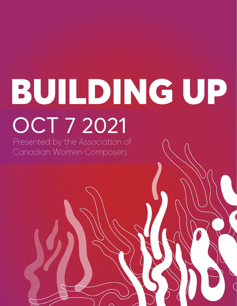# BUILDING UP

# **OCT 7 2021**

Presented by the Association of Canadian Women Composers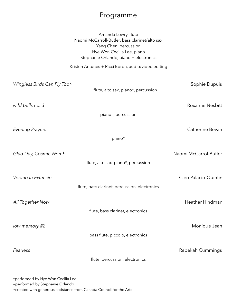#### Programme

Amanda Lowry, flute Naomi McCarroll-Butler, bass clarinet/alto sax Yang Chen, percussion Hye Won Cecilia Lee, piano Stephanie Orlando, piano + electronics Kristen Antunes + Ricci Ebron, audio/video editing Wingless Birds Can Fly Too^ Sophie Dupuis flute, alto sax, piano\*, percussion *wild bells no. 3* Roxanne Nesbitt piano~, percussion *Evening Prayers* Catherine Bevan piano\* **Glad Day, Cosmic Womb**  $\overline{a}$  and  $\overline{b}$  and  $\overline{b}$  and  $\overline{b}$  and  $\overline{b}$  and  $\overline{b}$  and  $\overline{b}$  and  $\overline{b}$  and  $\overline{b}$  and  $\overline{b}$  and  $\overline{b}$  and  $\overline{b}$  and  $\overline{b}$  and  $\overline{b}$  and  $\overline{b}$  and  $\over$ flute, alto sax, piano\*, percussion *Verano In Extensio* Cléo Palacio-Quintin flute, bass clarinet, percussion, electronics **All Together Now Community Community Community Community Community Community Community Community Community Community Community Community Community Community Community Community Community Community Community Community Comm** flute, bass clarinet, electronics *low memory #2* Monique Jean bass flute, piccolo, electronics *Fearless* Rebekah Cummings flute, percussion, electronics

\*performed by Hye Won Cecilia Lee ~performed by Stephanie Orlando ^created with generous assistance from Canada Council for the Arts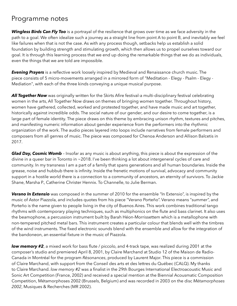#### Programme notes

*Wingless Birds Can Fly Too* is a portrayal of the resilience that grows over time as we face adversity in the path to a goal. We often idealize such a journey as a straight line from point A to point B, and inevitably we feel like failures when that is not the case. As with any process though, setbacks help us establish a solid foundation by building strength and stimulating growth, which then allows us to propel ourselves toward our goal. It is through this learning process that we end up doing the remarkable things that we do as individuals, even the things that we are told are impossible.

*Evening Prayers* is a reflective work loosely inspired by Medieval and Renaissance church music. The piece consists of 5 micro-movements arranged in a mirrored form of "Meditation - Elegy - Psalm - Elegy - Mediation", with each of the three kinds conveying a unique musical purpose.

**All Together Now** was originally written for the Skirts Afire festival-a multi-disciplinary festival celebrating women in the arts, All Together Now draws on themes of bringing women together. Throughout history, women have gathered, collected, worked and protested together, and have made music and art together, historically against incredible odds. The social nature of our gender, and our desire to come together, is a large part of female identity. The piece draws on this theme by embracing unison rhythm, textures and pitches, and manifesting numeric information about gender experience from the performers into the rhythmic organization of the work. The audio pieces layered into loops include narratives from female performers and composers from all genres of music. The piece was composed for Chenoa Anderson and Allison Balcetis in 2017.

**Glad Day, Cosmic Womb** - Insofar as any music is about anything, this piece is about the expression of the divine in a queer bar in Toronto in ~2018. I've been thinking a lot about intergeneral cycles of care and community. In my transness I am a part of a family that spans generations and all human boundaries. Inside the grease, noise and hubbub there is infinity. Inside the frenetic motions of survival, advocacy and community support in a hostile world there is a connection to a community of ancestors, an eternity of survivors. To Jackie Shane, Marsha P., Catherine Christer Hennix. To Channelle, to Julie Berman.

*Verano In Extensio* was composed in the summer of 2010 for the ensemble "In Extensio", is inspired by the music of Astor Piazzola, and includes quotes from his piece "Verano Porteño". Verano means "summer", and Porteño is the name given to people living in the city of Buenos Aires. This work combines traditional tango rhythms with contemporary playing techniques, such as multiphonics on the flute and bass clarinet. It also uses the beamophone, a percussion instrument built by Barah Héon-Morrissettem which is a metallophone with non-tempered pitched metal bars. This instrument creates a particular colour that blends well with the timbres of the wind instruments. The fixed electronic sounds blend with the ensemble and allow for the integration of the bandoneon, an essential fixture in the music of Piazzola.

**low memory #2**, a mixed work for bass flute / piccolo, and 4-track tape, was realized during 2001 at the composer's studio and premiered April 8, 2001, by Claire Marchand at Studio 12 of the Maison de Radio-Canada in Montréal for the program *Résonances*, produced by Laurent Major. This piece is a commission of Claire Marchand, with support from the Conseil des arts et des lettres du Québec (CALQ). My thanks to Claire Marchand. *low memory #2* was a finalist in the 29th Bourges International Electroacoustic Music and Sonic Art Competition (France, 2002) and received a special mention at the Biennial Acousmatic Composition Competition, Métamorphoses 2002 (Brussels, Belgium) and was recorded in 2003 on the disc *Métamorphoses 2002*, Musiques & Recherches (MR 2002).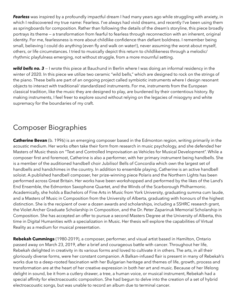*Fearless* was inspired by a profoundly impactful dream I had many years ago while struggling with anxiety, in which I rediscovered my true name: Fearless. I've always had vivid dreams, and recently I've been using them as springboards for composition. Rather than following the details of the dream's storyline, this piece broadly portrays its theme — a transformation from fearful to fearless through reconnection with an inherent, original identity. For me, fearlessness is more about childlike confidence than defiant boldness. I remember being small, believing I could do anything (even fly and walk on water!), never assuming the worst about myself, others, or life circumstances. I tried to musically depict this return to childlikeness through a melodic/ rhythmic playfulness emerging, not without struggle, from a more mournful setting.

*wild bells no. 3* — I wrote this piece at Bauchund in Berlin where I was doing an informal residency in the winter of 2020. In this piece we utilize two ceramic "wild bells," which are designed to rock on the strings of the piano. These bells are part of an ongoing project called symbiotic instruments where I design resonant objects to interact with traditional/ standardized instruments. For me, instruments from the European classical tradition, like the music they are designed to play, are burdened by their contentious history. By making instruments, I feel freer to explore sound without relying on the legacies of misogyny and white supremacy for the boundaries of my craft.

### Composer Biographies

**Catherine Bevan** (b. 1996) is an emerging composer based in the Edmonton region, writing primarily in the acoustic medium. Her works often take their form from research in music psychology, and she defended her Masters of Music thesis on "Text and Controlled Improvisation as Vehicles for Musical Development". While a composer first and foremost, Catherine is also a performer, with her primary instrument being handbells. She is a member of the auditioned handbell choir Jubiliso! Bells of Concordia which own the largest set of handbells and handchimes in the country. In addition to ensemble playing, Catherine is an active handbell soloist. A published handbell composer, her prize-winning piece Polaris and the Northern Lights has been performed across Great Britain. Her works have been workshopped and performed by the likes of the Land's End Ensemble, the Edmonton Saxophone Quartet, and the Winds of the Scarborough Philharmonic. Academically, she holds a Bachelors of Fine Arts in Music from York University, graduating summa cum laude, and a Masters of Music in Composition from the University of Alberta, graduating with honours of the highest distinction. She is the recipient of over a dozen awards and scholarships, including a SSHRC research grant, the Violet Archer Graduate Scholarship in Composition, and the Dr. Peter Zaparinuk Memorial Scholarship in Composition. She has accepted an offer to pursue a second Masters Degree at the University of Alberta, this time in Digital Humanities with a specialization in Music. Her thesis will explore the capabilities of Virtual Reality as a medium for musical presentation.

**Rebekah Cummings** (1980-2019), a composer, performer, and visual artist based in Hamilton, Ontario passed away on March 23, 2019, after a brief and courageous battle with cancer. Throughout her life, Rebekah delighted in creativity in its various forms and loved to cultivate it in others. The arts, in all their gloriously diverse forms, were her constant companion. A Balkan-infused flair is present in many of Rebekah's works due to a deep-rooted fascination with her Bulgarian heritage and themes of life, growth, process and transformation are at the heart of her creative expression in both her art and music. Because of her lifelong delight in sound, be it from a cutlery drawer, a tree, a human voice, or musical instrument, Rebekah had a special affinity for electroacoustic composition. She had begun to delve into the creation of a set of hybrid electroacoustic songs, but was unable to record an album due to terminal cancer.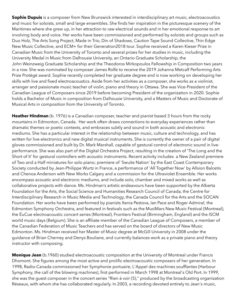**Sophie Dupuis** is a composer from New Brunswick interested in interdisciplinary art music, electroacoustics and music for soloists, small and large ensembles. She finds her inspiration in the picturesque scenery of the Maritimes where she grew up, in her attraction to raw electrical sounds and in her emotional response to art involving body and voice. Her works have been commissioned and performed by soloists and groups such as Duo Holz, The Arts Song Project, Made in Trio, Din of Shadows, Caution Tape Sound Collective, Thin Edge New Music Collective, and ECM+ for their Generation2018 tour. Sophie received a Karen Kieser Prize in Canadian Music from the University of Toronto and several prizes for her studies in music, including the University Medal in Music from Dalhousie University, an Ontario Graduate Scholarship, the John Weinzweig Graduate Scholarship and the Theodoros Mirkopoulos Fellowship in Composition two years in a row. She was nominated by composer James Rolfe to receive the 2019 Johanna Metcalf Performing Arts Prize Protégé award. Sophie recently completed her graduate degree and is now working on developing her skills with live and fixed electroacoustics. Aside from her activities as a composer, she works as a violinist, arranger and passionate music teacher of violin, piano and theory in Ottawa. She was Vice-President of the Canadian League of Composers since 2019 before becoming President of the organization in 2020. Sophie holds a Bachelor of Music in composition from Dalhousie University, and a Masters of Music and Doctorate of Musical Arts in composition from the University of Toronto.

**Heather Hindman** (b. 1976) is a Canadian composer, teacher and pianist based 3 hours from the rocky mountains in Edmonton, Canada. Her work often draws connections to everyday experiences rather than dramatic themes or poetic contexts, and embraces subtly and sound in both acoustic and electronic mediums. She has a particular interest in the relationship between music, culture and technology, and has written for live-electronics and new digital musical instruments. She is currently the owner of a pair of digital gloves commissioned and built by Dr. Mark Marshall, capable of gestural control of electronic sound in liveperformance. She was also part of the Digital Orchestra Project, resulting in the creation of 'The Long and the Short of It' for gestural controllers with acoustic instruments. Recent activity includes a New Zealand premiere of Two and a Half miniatures for solo piano; premiere of 'Swuite Nation' by the East Coast Contemporary Society conducted by Jean-Philippe Wurtz in France, a performance of 'All Together Now' by Allsion Balcetis and Chenoa Anderson with New Works Calgary and a commission for the Ultraviolet Ensemble. Her works encompass acoustic and electronic mediums, and include solo, chamber and mixed works as well as collaborative projects with dance. Ms. Hindman's artistic endeavours have been supported by the Alberta Foundation for the Arts, the Social Science and Humanities Research Council of Canada, the Centre for Interdisciplinary Research in Music Media and Technology, the Canada Council for the Arts and the SOCAN Foundation. Her works have been performed by pianists Xenia Pestova, Ian Pace and Roger Admiral; the Edmonton Symphony Orchestra, and featured in festivals such as the MusiMars New Music Festival (Montreal), the ÉuCue electroacoustic concert series (Montreal), Frontiers Festival (Birmingham, England) and the ISCM world music days (Belgium). She is an affiliate member of the Canadian League of Composers, a member of the Canadian Federation of Music Teachers and has served on the board of directors of New Music Edmonton. Ms. Hindman received her Master of Music degree at McGill University in 2008 under the guidance of Brian Cherney and Denys Bouliane, and currently balances work as a private piano and theory instructor with composing.

**Monique Jean** (b.1960) studied electroacoustic composition at the University of Montreal under Francis Dhomont. She figures among the most active and prolific electroacoustic composers of her generation. In 1998, Radio-Canada commissioned her Symphonie portuaire, L'Appel des machines soufflantes (Harbour Symphony, the call of the blowing machines), first performed in March 1998 at Montreal's Old Port. In 1999, she was the guest composer in the concert series "Rien à voir (5)," produced by the broadcasting organization Réseaux, with whom she has collaborated regularly. In 2003, a recording devoted entirely to Jean's music,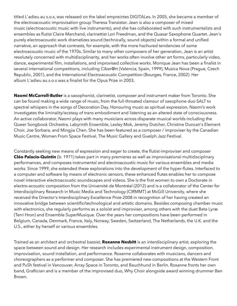titled L'adieu au s.o.s, was released on the label empreintes DIGITALes. In 2005, she became a member of the electroacoustic improvisation group Theresa Transistor. Jean is also a composer of mixed music (electroacoustic music with live instruments), and she has collaborated with such instrumentalists and ensembles as flutist Claire Marchand, clarinettist Lori Freedman, and the Quasar Saxophone Quartet. Jean's purely electroacoustic work dramatizes sound (technically, sound objects) within a formal and unified narrative, an approach that contrasts, for example, with the more hachured tendencies of some electroacoustic music of the 1970s. Similar to many other composers of her generation, Jean is an artist resolutely concerned with multidisciplinarity, and her works often involve other art forms, particularly video, dance, experimental film, installations, and improvised collective works. Monique Jean has been a finalist in several international competitions, including Ciber@rt (Valencia, Spain, 1999), Musica Nova (Prague, Czech Republic, 2001), and the International Electroacoustic Competition (Bourges, France, 2002). Her album L'adieu au s.o.s was a finalist for the Opus Prize in 2003.

**Naomi McCarroll-Butler** is a saxophonist, clarinetist, composer and instrument maker from Toronto. She can be found making a wide range of music, from the full-throated clamour of saxophone duo SALT to spectral whispers in the songs of Decoration Day. Honouring music as spiritual expression, Naomi's work investigates the liminality/ecstasy of trans embodiment and listening as an altered state of consciousness. An active collaborator, Naomi plays with many musicians across disparate musical worlds including the Queer Songbook Orchestra, Labyrinth Ensemble, Lesley Mok, Jeremy Dutcher, Christine Duncan's Element Choir, Joe Sorbara, and Mingjia Chen. She has been featured as a composer / improviser by the Canadian Music Centre, Women From Space Festival, The Music Gallery and Guelph Jazz Festival.

Constantly seeking new means of expression and eager to create, the flutist-improviser and composer **Cléo Palacio-Quintin** (b. 1971) takes part in many premieres as well as improvisational multidisciplinary performances, and composes instrumental and electroacoustic music for various ensembles and media works. Since 1999, she extended these explorations into the development of the hyper-flutes. Interfaced to a computer and software by means of electronic sensors, these enhanced flutes enables her to compose novel interactive electroacoustic soundscapes and videos. She is the first women to own a Doctorate in electro-acoustic composition from the Université de Montréal (2012) and is a collaborator of the Center for Interdisciplinary Research in Music Media and Technology (CIRMMT) at McGill University, where she received the Director's Interdisciplinary Excellence Prize 2008 in recognition of her having created an innovative bridge between scientific/technological and artistic domains. Besides composing chamber music with electronics, she regularly performs as a soloist and improviser, among others with the duet Beta Lyræ (Terri Hron) and Ensemble SuperMusique. Over the years her compositions have been performed in Belgium, Canada, Denmark, France, Italy, Norway, Sweden, Switzerland, The Netherlands, the U.K. and the U.S., either by herself or various ensembles.

Trained as an architect and orchestral bassist, **Roxanne Nesbitt** is an interdisciplinary artist, exploring the space between sound and design. Her research includes experimental instrument design, composition, improvisation, sound installation, and performance. Roxanne collaborates with musicians, dancers and choreographers as a performer and composer. She has premiered new compositions at the Western Front and PuSh festival in Vancouver, Array Space in Toronto, and Bauchhund in Berlin. Roxanne fronts her own band, Graftician and is a member of the improvised duo, Why Choir alongside award winning drummer Ben Brown.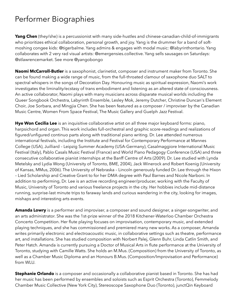## Performer Biographies

Yang Chen (they/she) is a percussionist with many side-hustles and chinese-canadian-child-of-immigrants who prioritizes ethical collaboration, personal growth, and joy. Yang is the drummer for a band of softmoshing congee kids: @tigerbalme. Yang admins & engages with modal music: @labyrinthontario. Yang collaborates with 2 very rad visual artists: @emergensies.collective. Yang sells sausages on Saturdays: @stlawrencemarket. See more @yangobongo

**Naomi McCarroll-Butler** is a saxophonist, clarinetist, composer and instrument maker from Toronto. She can be found making a wide range of music, from the full-throated clamour of saxophone duo SALT to spectral whispers in the songs of Decoration Day. Honouring music as spiritual expression, Naomi's work investigates the liminality/ecstasy of trans embodiment and listening as an altered state of consciousness. An active collaborator, Naomi plays with many musicians across disparate musical worlds including the Queer Songbook Orchestra, Labyrinth Ensemble, Lesley Mok, Jeremy Dutcher, Christine Duncan's Element Choir, Joe Sorbara, and Mingjia Chen. She has been featured as a composer / improviser by the Canadian Music Centre, Women From Space Festival, The Music Gallery and Guelph Jazz Festival.

**Hye Won Cecilia Lee** is an inquisitive collaborative artist on all three major keyboard forms: piano, harpsichord and organ. This work includes full-orchestral and graphic score-readings and realizations of figured/unfigured continuo parts along with traditional piano writing. Dr. Lee attended numerous international festivals, including the Institute and Festival for Contemporary Performance at Mannes College (USA), Juilliard – Leipzig Summer Academy (USA-Germany), Casalmaggiore International Music Festival (Italy), Pablo Casals Music Festival (France) and World Piano Pedagogy Conference (USA) and three consecutive collaborative pianist internships at the Banff Centre of Arts (2009). Dr. Lee studied with Lynda Metelsky and Lydia Wong (University of Toronto, BME, 2004), Jack Winerock and Robert Koenig (University of Kansas, MMus, 2006). The University of Nebraska – Lincoln generously funded Dr. Lee through the Hixon – Lied Scholarship and Creative Grant to for her DMA degree with Paul Barnes and Nicole Narboni. In addition to performing, Dr. Lee is an active recording engineer/producer, working with the Faculty of Music, University of Toronto and various freelance projects in the city. Her hobbies include mid-distance running, surprise-last minute trips to faraway lands and curious wandering in the city, looking for images, mishaps and interesting arts events.

**Amanda Lowry** is a performer and improviser, a composer and sound designer, a singer-songwriter, and an arts administrator. She was the 1st-prize winner of the 2018 Kitchener-Waterloo Chamber Orchestra Concerto Competition. Her flute playing focuses on improvisation, contemporary music, and extended playing techniques, and she has commissioned and premiered many new works. As a composer, Amanda writes primarily electronic and electroacoustic music, in collaborative settings such as theatre, performance art, and installations. She has studied composition with Norbert Palej, Glenn Buhr, Linda Catlin Smith, and Peter Hatch. Amanda is currently pursuing a Doctor of Musical Arts in flute performance at the University of Toronto, studying with Camille Watts. She holds an M.Mus. (Composition) from the University of Toronto, as well as a Chamber Music Diploma and an Honours B.Mus. (Composition/Improvisation and Performance) from WLU.

**Stephanie Orlando** is a composer and occasionally a collaborative pianist based in Toronto. She has had her music has been performed by ensembles and soloists such as Esprit Orchestra (Toronto), Femmelody Chamber Music Collective (New York City), Stereoscope Saxophone Duo (Toronto), junctQin Keyboard